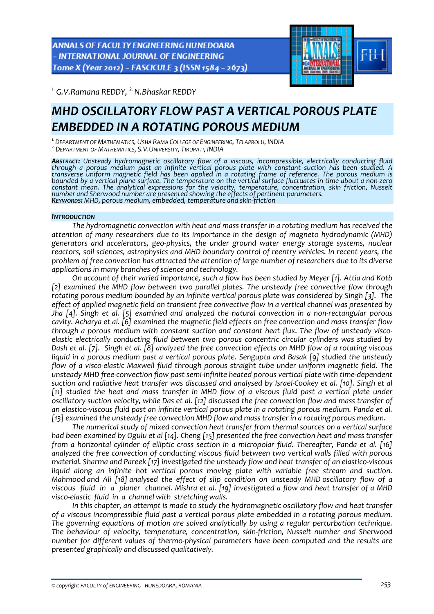ANNALS OF FACULTY ENGINEERING HUNEDOARA - INTERNATIONAL JOURNAL OF ENGINEERING Tome X (Year 2012) - FASCICULE 3 (ISSN 1584 - 2673)



<sup>1.</sup> G.V.Ramana REDDY, <sup>2.</sup> N.Bhaskar REDDY

# *MHD OSCILLATORY FLOW PAST A VERTICAL POROUS PLATE EMBEDDED IN A ROTATING POROUS MEDIUM*

<sup>1</sup> DEPARTMENT OF MATHEMATICS, USHA RAMA COLLEGE OF ENGINEERING, TELAPROLU, INDIA<br><sup>2</sup> DEPARTMENT OF MATHEMATICS, S.V.UNIVERSITY, TIRUPATI, INDIA

**Abstract:** Unsteady hydromagnetic oscillatory flow of a viscous, incompressible, electrically conducting fluid<br>through a porous medium past an infinite vertical porous plate with constant suction has been studied. A *transverse uniform magnetic field has been applied in a rotating frame of reference. The porous medium is* bounded by a vertical plane surface. The temperature on the vertical surface fluctuates in time about a non-zero *constant mean. The analytical expressions for the velocity, temperature, concentration, skin friction, Nusselt* number and Sherwood number are presented showing the effects of pertinent parameters.<br>**K**EYWORDS: MHD, porous medium, embedded, temperature and skin-friction

## *INTRODUCTION*

*The hydromagnetic convection with heat and mass transfer in a rotating medium has received the attention of many researchers due to its importance in the design of magneto hydrodynamic (MHD) generators and accelerators, geo‐physics, the under ground water energy storage systems, nuclear reactors, soil sciences, astrophysics and MHD boundary control of reentry vehicles. In recent years, the problem of free convection has attracted the attention of large number of researchers due to its diverse applications in many branches of science and technology.* 

*On account of their varied importance, such a flow has been studied by Meyer [1]. Attia and Kotb [2] examined the MHD flow between two parallel plates. The unsteady free convective flow through rotating porous medium bounded by an infinite vertical porous plate was considered by Singh [3]. The effect of applied magnetic field on transient free convective flow in a vertical channel was presented by Jha [4]. Singh et al. [5] examined and analyzed the natural convection in a non‐rectangular porous cavity. Acharya et al. [6] examined the magnetic field effects on free convection and mass transfer flow through a porous medium with constant suction and constant heat flux. The flow of unsteady visco‐ elastic electrically conducting fluid between two porous concentric circular cylinders was studied by* Dash et al. [7]. Singh et al. [8] analyzed the free convection effects on MHD flow of a rotating viscous *liquid in a porous medium past a vertical porous plate. Sengupta and Basak [9] studied the unsteady flow of a visco‐elastic Maxwell fluid through porous straight tube under uniform magnetic field. The* unsteady MHD free-convection flow past semi-infinite heated porous vertical plate with time-dependent suction and radiative heat transfer was discussed and analysed by Israel-Cookey et al. [10]. Singh et al [11] studied the heat and mass transfer in MHD flow of a viscous fluid past a vertical plate under oscillatory suction velocity, while Das et al. [12] discussed the free convection flow and mass transfer of an elastico-viscous fluid past an infinite vertical porous plate in a rotating porous medium. Panda et al. *[13] examined the unsteady free convection MHD flow and mass transfer in a rotating porous medium.*

*The numerical study of mixed convection heat transfer from thermal sources on a vertical surface* had been examined by Ogulu et al [14]. Cheng [15] presented the free convection heat and mass transfer *from a horizontal cylinder of elliptic cross section in a micropolar fluid. Thereafter, Panda et al. [16] analyzed the free convection of conducting viscous fluid between two vertical walls filled with porous material. Sharma and Pareek [17] investigated the unsteady flow and heat transfer of an elastico‐viscous liquid along an infinite hot vertical porous moving plate with variable free stream and suction.* Mahmood and Ali [18] analysed the effect of slip condition on unsteady MHD oscillatory flow of a viscous fluid in a planer channel. Mishra et al. [19] investigated a flow and heat transfer of a MHD *visco‐elastic fluid in a channel with stretching walls.*

*In this chapter, an attempt is made to study the hydromagnetic oscillatory flow and heat transfer of a viscous incompressible fluid past a vertical porous plate embedded in a rotating porous medium. The governing equations of motion are solved analytically by using a regular perturbation technique. The behaviour of velocity, temperature, concentration, skin‐friction, Nusselt number and Sherwood number for different values of thermo‐physical parameters have been computed and the results are presented graphically and discussed qualitatively.*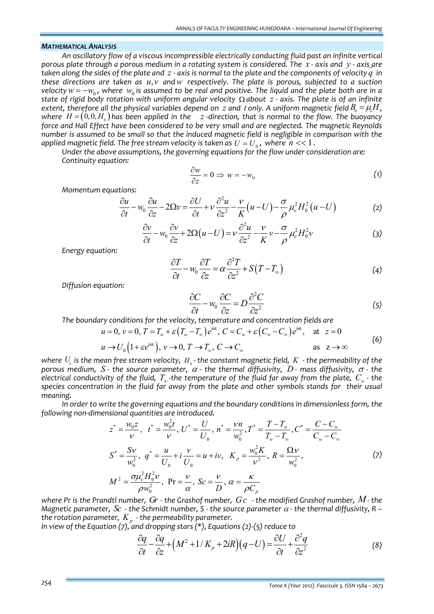#### *MATHEMATICAL ANALYSIS*

*An oscillatory flow of a viscous incompressible electrically conducting fluid past an infinite vertical* porous plate through a porous medium in a rotating system is considered. The  $\,x$  - axis and  $\,y$  - axis are taken along the sides of the plate and  $\,$  - axis is normal to the plate and the components of velocity  $q\,$  in *these directions are taken as u v*, *andw respectively. The plate is porous, subjected to a suction* velocity  $w = -w_0$ , where  $w_0$  is assumed to be real and positive. The liquid and the plate both are in a state of rigid body rotation with uniform angular velocity  $\Omega$  about  $z$  - axis. The plate is of an infinite extent, therefore all the physical variables depend on  $\,z$  and  $\,t$  only. A uniform magnetic field  $B_{_0}=\mu_{_e}H$  , where  $H = (0, 0, H<sub>0</sub>)$  has been applied in the z-direction, that is normal to the flow. The buovancy *force and Hall Effect have been considered to be very small and are neglected. The magnetic Reynolds* number is assumed to be small so that the induced magnetic field is negligible in comparison with the *applied magnetic field. The free stream velocity is taken as*  $U = U_0$ *, where*  $n \ll 1$ *.* 

*Under the above assumptions, the governing equations for the flow under consideration are: Continuity equation:*

$$
\frac{\partial w}{\partial z} = 0 \Rightarrow w = -w_0 \tag{1}
$$

*Momentum equations:*

$$
\frac{\partial u}{\partial t} - w_0 \frac{\partial u}{\partial z} - 2\Omega v = \frac{\partial U}{\partial t} + v \frac{\partial^2 u}{\partial z^2} - \frac{v}{K} (u - U) - \frac{\sigma}{\rho} \mu_e^2 H_0^2 (u - U) \tag{2}
$$

$$
\frac{\partial v}{\partial t} - w_0 \frac{\partial v}{\partial z} + 2\Omega(u - U) = v \frac{\partial^2 u}{\partial z^2} - \frac{v}{K} v - \frac{\sigma}{\rho} \mu_e^2 H_0^2 v \tag{3}
$$

*Energy equation:*

$$
\frac{\partial T}{\partial t} - w_0 \frac{\partial T}{\partial z} = \alpha \frac{\partial^2 T}{\partial z^2} + S(T - T_{\infty})
$$
\n(4)

*Diffusion equation:*

$$
\frac{\partial C}{\partial t} - w_0 \frac{\partial C}{\partial z} = D \frac{\partial^2 C}{\partial z^2}
$$
 (5)

*The boundary conditions for the velocity, temperature and concentration fields are*

$$
u = 0, v = 0, T = T_w + \varepsilon (T_w - T_\infty) e^{\text{int}}, C = C_w + \varepsilon (C_w - C_\infty) e^{\text{int}}, \text{ at } z = 0
$$
  
\n
$$
u \to U_0 \left( 1 + \varepsilon e^{\text{int}} \right), v \to 0, T \to T_\infty, C \to C_\infty
$$
 as  $z \to \infty$  (6)

where  $U_{\text{o}}$  is the mean free stream velocity,  $H_{\text{o}}$ -the constant magnetic field,  $K$  -the permeability of the *porous medium,*  $S$  *- the source parameter,*  $\alpha$  *- the thermal diffusivity,*  $D$  *<i>- mass diffusivity,*  $\sigma$  *- the* electrical conductivity of the fluid,  $T_{\infty}$ -the temperature of the fluid far away from the plate,  $C_{\infty}$ - the species concentration in the fluid far away from the plate and other symbols stands for their usual *meaning.*

*In order to write the governing equations and the boundary conditions in dimensionless form, the following non‐dimensional quantities are introduced.*

$$
z^* = \frac{w_0 z}{\nu}, \quad t^* = \frac{w_0^2 t}{\nu}, \quad U^* = \frac{U}{U_0}, \quad n^* = \frac{\nu n}{w_0^2}, \quad T^* = \frac{T - T_{\infty}}{T_w - T_{\infty}}, \quad C^* = \frac{C - C_{\infty}}{C_w - C_{\infty}}
$$
\n
$$
S^* = \frac{S \nu}{w_0^2}, \quad q^* = \frac{u}{U_0} + i \frac{\nu}{U_0} = u + iv, \quad K_p = \frac{w_0^2 K}{\nu^2}, \quad R = \frac{\Omega \nu}{w_0^2},
$$
\n
$$
M^2 = \frac{\sigma \mu_e^2 H_0^2 \nu}{\rho w_0^2}, \quad \text{Pr} = \frac{\nu}{\alpha}, \quad Sc = \frac{\nu}{D}, \quad \alpha = \frac{\kappa}{\rho C_p}
$$
\n(7)

where Pr is the Prandtl number,  $Gr$  - the Grashof number,  $\overline{G}c$  - the modified Grashof number,  $M$ - the Magnetic parameter,  $Sc$  - the Schmidt number, S - the source parameter  $\alpha$  - the thermal diffusivity, R – *the rotation parameter, K <sup>p</sup> ‐ the permeability parameter.*

*In view of the Equation (7), and dropping stars (\*), Equations (2)‐(5) reduce to*

$$
\frac{\partial q}{\partial t} - \frac{\partial q}{\partial z} + \left(M^2 + 1/K_p + 2iR\right)\left(q - U\right) = \frac{\partial U}{\partial t} + \frac{\partial^2 q}{\partial z^2} \tag{8}
$$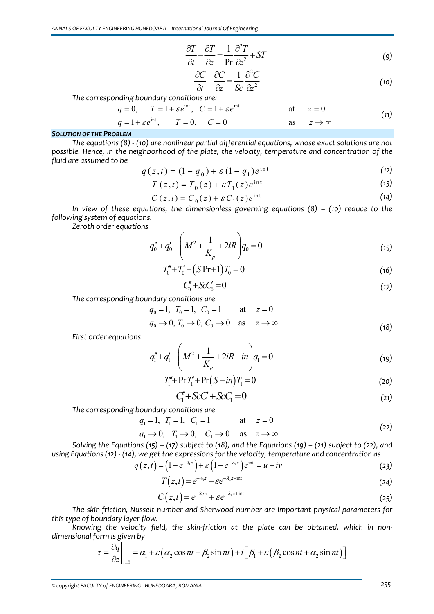$$
\frac{\partial T}{\partial t} - \frac{\partial T}{\partial z} = \frac{1}{\text{Pr}} \frac{\partial^2 T}{\partial z^2} + ST \tag{9}
$$

$$
\frac{\partial C}{\partial t} - \frac{\partial C}{\partial z} = \frac{1}{Sc} \frac{\partial^2 C}{\partial z^2}
$$
 (10)

*The corresponding boundary conditions are:*

$$
q = 0, \t T = 1 + \varepsilon e^{\text{int}}, \t C = 1 + \varepsilon e^{\text{int}} \t at \t z = 0
$$
  
\n
$$
q = 1 + \varepsilon e^{\text{int}}, \t T = 0, \t C = 0 \t as \t z \to \infty
$$
\n(11)

## *SOLUTION OF THE PROBLEM*

*The equations (8) ‐ (10) are nonlinear partial differential equations, whose exact solutions are not possible. Hence, in the neighborhood of the plate, the velocity, temperature and concentration of the fluid are assumed to be*

$$
q(z,t) = (1 - q_0) + \varepsilon (1 - q_1) e^{\mathrm{int}}
$$
\n<sup>(12)</sup>

$$
T(z,t) = T_0(z) + \varepsilon T_1(z)e^{int}
$$
 (13)

$$
C(z,t) = C_0(z) + \varepsilon C_1(z)e^{int}
$$
 (14)

*In view of these equations, the dimensionless governing equations (8) – (10) reduce to the following system of equations.*

*Zeroth order equations*

$$
q_0'' + q_0' - \left(M^2 + \frac{1}{K_p} + 2iR\right)q_0 = 0\tag{15}
$$

$$
T_0'' + T_0' + (SPr+1)T_0 = 0
$$
\n(16)

$$
C_0^{\prime} + \mathcal{S}c_0^{\prime} = 0\tag{17}
$$

*The corresponding boundary conditions are*

$$
q_0 = 1, T_0 = 1, C_0 = 1
$$
 at  $z = 0$   
\n $q_0 \to 0, T_0 \to 0, C_0 \to 0$  as  $z \to \infty$  (18)

*First order equations*

$$
q_1'' + q_1' - \left(M^2 + \frac{1}{K_p} + 2iR + in\right)q_1 = 0\tag{19}
$$

$$
T_1'' + \Pr T_1' + \Pr (S - in) T_1 = 0 \tag{20}
$$

$$
C_1'' + ScC_1' + ScC_1 = 0 \tag{21}
$$

*The corresponding boundary conditions are*

$$
q_1 = 1, T_1 = 1, C_1 = 1
$$
 at  $z = 0$  (22)

$$
q_1 \rightarrow 0, \quad T_1 \rightarrow 0, \quad C_1 \rightarrow 0 \quad \text{as} \quad z \rightarrow \infty
$$
 (22)

Solving the Equations (15) – (17) subject to (18), and the Equations (19) – (21) subject to (22), and *using Equations (12) ‐ (14), we get the expressions for the velocity, temperature and concentration as*

$$
q(z,t) = (1 - e^{-\lambda_1 z}) + \varepsilon (1 - e^{-\lambda_2 z}) e^{int} = u + iv
$$
\n(23)

$$
T(z,t) = e^{-\lambda_3 z} + \varepsilon e^{-\lambda_4 z + \text{int}} \tag{24}
$$

$$
C(z,t) = e^{-Scz} + \varepsilon e^{-\lambda_z z + \text{int}}
$$
\n(25)

*The skin‐friction, Nusselt number and Sherwood number are important physical parameters for this type of boundary layer flow.*

*Knowing the velocity field, the skin‐friction at the plate can be obtained, which in non‐ dimensional form is given by*

$$
\tau = \frac{\partial q}{\partial z}\bigg|_{z=0} = \alpha_1 + \varepsilon \big(\alpha_2 \cos nt - \beta_2 \sin nt\big) + i \big[\beta_1 + \varepsilon \big(\beta_2 \cos nt + \alpha_2 \sin nt\big)\big]
$$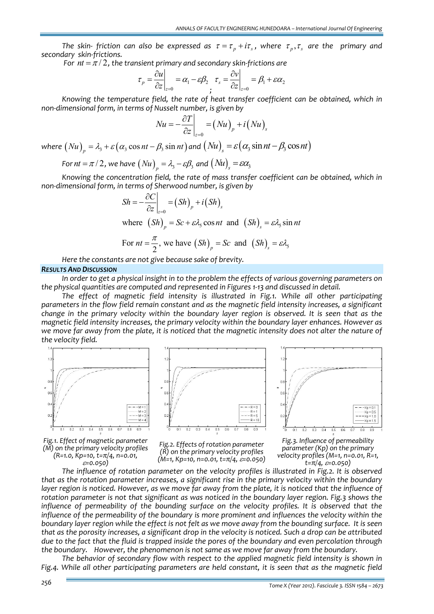The skin- friction can also be expressed as  $\tau = \tau_n + i\tau_s$ , where  $\tau_n, \tau_s$  are the primary and *secondary skin‐frictions.* 

*For*  $nt = \pi/2$ , the *transient* primary and secondary *skin-frictions* are

$$
\tau_p = \frac{\partial u}{\partial z}\bigg|_{z=0} = \alpha_1 - \varepsilon \beta_2 \quad \tau_s = \frac{\partial v}{\partial z}\bigg|_{z=0} = \beta_1 + \varepsilon \alpha_2
$$

*Knowing the temperature field, the rate of heat transfer coefficient can be obtained, which in non‐dimensional form, in terms of Nusselt number, is given by*

$$
Nu = -\frac{\partial T}{\partial z}\bigg|_{z=0} = (Nu)_p + i(Nu)_s
$$

*where*  $(Nu)$ <sub>n</sub> =  $\lambda$ <sub>3</sub> +  $\varepsilon$   $(\alpha$ <sub>3</sub> cos *nt* -  $\beta$ <sub>3</sub> sin *nt*) and  $(Nu)$ <sub>n</sub> =  $\varepsilon$   $(\alpha$ <sub>3</sub> sin *nt* -  $\beta$ <sub>3</sub> cos *nt*)

For 
$$
nt = \pi/2
$$
, we have  $(Nu)_p = \lambda_3 - \varepsilon\beta_3$  and  $(Nu)_s = \varepsilon\alpha_3$ 

*Knowing the concentration field, the rate of mass transfer coefficient can be obtained, which in non‐dimensional form, in terms of Sherwood number, is given by*

$$
Sh = -\frac{\partial C}{\partial z}\Big|_{z=0} = (Sh)_p + i(Sh)_s
$$
  
where  $(Sh)_p = Sc + \varepsilon \lambda_s \cos nt$  and  $(Sh)_s = \varepsilon \lambda_s \sin nt$ 

For 
$$
nt = \frac{\pi}{2}
$$
, we have  $(Sh)_p = Sc$  and  $(Sh)_s = \varepsilon \lambda_s$ 

*Here the constants are not give because sake of brevity.* 

#### *RESULTS AND DISCUSSION*

In order to get a physical insight in to the problem the effects of various governing parameters on *the physical quantities are computed and represented in Figures 1‐13 and discussed in detail.*

*The effect of magnetic field intensity is illustrated in Fig.1. While all other participating parameters in the flow field remain constant and as the magnetic field intensity increases, a significant* change in the primary velocity within the boundary layer region is observed. It is seen that as the *magnetic field intensity increases, the primary velocity within the boundary layer enhances. However as* we move far away from the plate, it is noticed that the magnetic intensity does not alter the nature of *the velocity field.*











*Fig.2. Effects of rotation parameter (R) on the primary velocity profiles (M=1, Kp=10, n=0.01, t=π/4,* <sup>ε</sup>*=0.050)*

*Fig.3. Influence of permeability parameter (Kp) on the primary velocity profiles (M=1, n=0.01, R=1, t=π/4,* <sup>ε</sup>*=0.050)*

*The influence of rotation parameter on the velocity profiles is illustrated in Fig.2. It is observed that as the rotation parameter increases, a significant rise in the primary velocity within the boundary* layer region is noticed. However, as we move far away from the plate, it is noticed that the influence of *rotation parameter is not that significant as was noticed in the boundary layer region. Fig.3 shows the influence of permeability of the bounding surface on the velocity profiles. It is observed that the influence of the permeability of the boundary is more prominent and influences the velocity within the* boundary layer region while the effect is not felt as we move away from the bounding surface. It is seen that as the porosity increases, a significant drop in the velocity is noticed. Such a drop can be attributed due to the fact that the fluid is trapped inside the pores of the boundary and even percolation through *the boundary. However, the phenomenon is not same as we move far away from the boundary.*

*The behavior of secondary flow with respect to the applied magnetic field intensity is shown in Fig.4. While all other participating parameters are held constant, it is seen that as the magnetic field*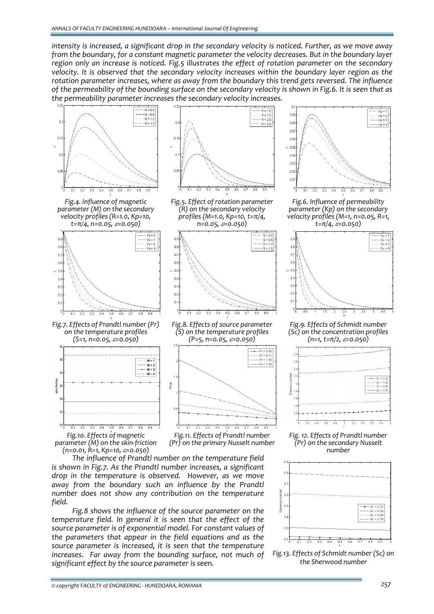*intensity is increased, a significant drop in the secondary velocity is noticed. Further, as we move away from the boundary, for a constant magnetic parameter the velocity decreases. But in the boundary layer region only an increase is noticed. Fig.5 illustrates the effect of rotation parameter on the secondary velocity. It is observed that the secondary velocity increases within the boundary layer region as the rotation parameter increases, where as away from the boundary this trend gets reversed. The influence* of the permeability of the bounding surface on the secondary velocity is shown in Fig.6. It is seen that as *the permeability parameter increases the secondary velocity increases.* 



*Fig.4. Influence of magnetic parameter (M) on the secondary velocity profiles (R=1.0, Kp=10, t=π/4, n=0.05,* <sup>ε</sup>*=0.050)*



*Fig.7. Effects of Prandtl number (Pr) on the temperature profiles (S=1, n=0.05,* <sup>ε</sup>*=0.050)*



*parameter (M) on the skin‐friction (n=0.01, R=1, Kp=10,* <sup>ε</sup>*=0.050)*



*Fig.8 shows the influence of the source parameter on the temperature field. In general it is seen that the effect of the source parameter is of exponential model. For constant values of the parameters that appear in the field equations and as the source parameter is increased, it is seen that the temperature increases. Far away from the bounding surface, not much of significant effect by the source parameter is seen.* 



*Fig.5. Effect of rotation parameter (R) on the secondary velocity profiles (M=1.0, Kp=10, t=π/4, n=0.05,* <sup>ε</sup>*=0.050)*



*Fig.8. Effects of source parameter (S) on the temperature profiles (P=5, n=0.05,* <sup>ε</sup>*=0.050)*



*Fig.11. Effects of Prandtl number (Pr) on the primary Nusselt number*



*Fig.6. Influence of permeability parameter (Kp) on the secondary velocity profiles (M=1, n=0.05, R=1, t=π/4,* <sup>ε</sup>*=0.050)*



*Fig.9. Effects of Schmidt number (Sc) on the concentration profiles (n=1, t=π/2,* <sup>ε</sup>*=0.050)*



*Fig. 12. Effects of Prandtl number (Pr) on the secondary Nusselt number*



*Fig.13. Effects of Schmidt number (Sc) on the Sherwood number*